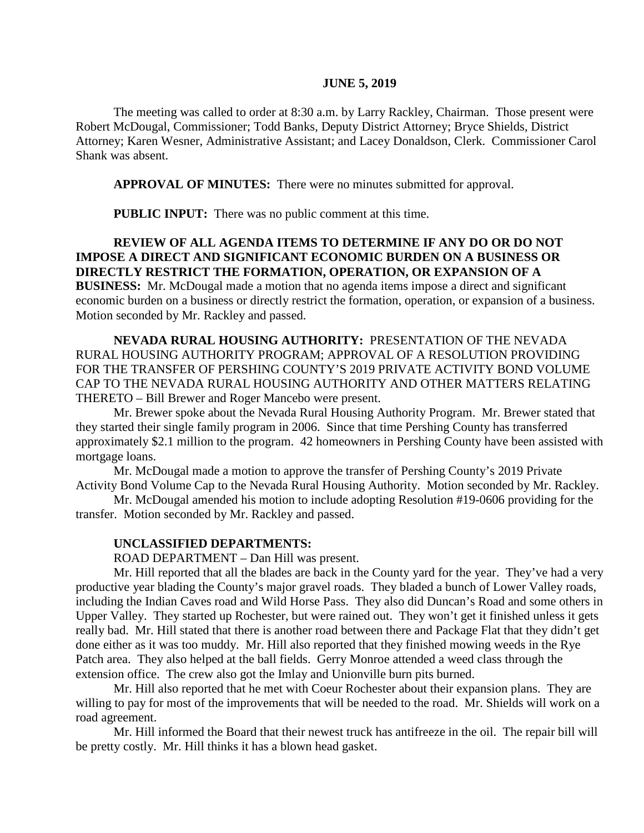#### **JUNE 5, 2019**

The meeting was called to order at 8:30 a.m. by Larry Rackley, Chairman. Those present were Robert McDougal, Commissioner; Todd Banks, Deputy District Attorney; Bryce Shields, District Attorney; Karen Wesner, Administrative Assistant; and Lacey Donaldson, Clerk. Commissioner Carol Shank was absent.

**APPROVAL OF MINUTES:** There were no minutes submitted for approval.

 **PUBLIC INPUT:** There was no public comment at this time.

# **REVIEW OF ALL AGENDA ITEMS TO DETERMINE IF ANY DO OR DO NOT IMPOSE A DIRECT AND SIGNIFICANT ECONOMIC BURDEN ON A BUSINESS OR DIRECTLY RESTRICT THE FORMATION, OPERATION, OR EXPANSION OF A**

**BUSINESS:** Mr. McDougal made a motion that no agenda items impose a direct and significant economic burden on a business or directly restrict the formation, operation, or expansion of a business. Motion seconded by Mr. Rackley and passed.

**NEVADA RURAL HOUSING AUTHORITY:** PRESENTATION OF THE NEVADA RURAL HOUSING AUTHORITY PROGRAM; APPROVAL OF A RESOLUTION PROVIDING FOR THE TRANSFER OF PERSHING COUNTY'S 2019 PRIVATE ACTIVITY BOND VOLUME CAP TO THE NEVADA RURAL HOUSING AUTHORITY AND OTHER MATTERS RELATING THERETO – Bill Brewer and Roger Mancebo were present.

Mr. Brewer spoke about the Nevada Rural Housing Authority Program. Mr. Brewer stated that they started their single family program in 2006. Since that time Pershing County has transferred approximately \$2.1 million to the program. 42 homeowners in Pershing County have been assisted with mortgage loans.

Mr. McDougal made a motion to approve the transfer of Pershing County's 2019 Private Activity Bond Volume Cap to the Nevada Rural Housing Authority. Motion seconded by Mr. Rackley.

Mr. McDougal amended his motion to include adopting Resolution #19-0606 providing for the transfer. Motion seconded by Mr. Rackley and passed.

#### **UNCLASSIFIED DEPARTMENTS:**

ROAD DEPARTMENT – Dan Hill was present.

Mr. Hill reported that all the blades are back in the County yard for the year. They've had a very productive year blading the County's major gravel roads. They bladed a bunch of Lower Valley roads, including the Indian Caves road and Wild Horse Pass. They also did Duncan's Road and some others in Upper Valley. They started up Rochester, but were rained out. They won't get it finished unless it gets really bad. Mr. Hill stated that there is another road between there and Package Flat that they didn't get done either as it was too muddy. Mr. Hill also reported that they finished mowing weeds in the Rye Patch area. They also helped at the ball fields. Gerry Monroe attended a weed class through the extension office. The crew also got the Imlay and Unionville burn pits burned.

Mr. Hill also reported that he met with Coeur Rochester about their expansion plans. They are willing to pay for most of the improvements that will be needed to the road. Mr. Shields will work on a road agreement.

Mr. Hill informed the Board that their newest truck has antifreeze in the oil. The repair bill will be pretty costly. Mr. Hill thinks it has a blown head gasket.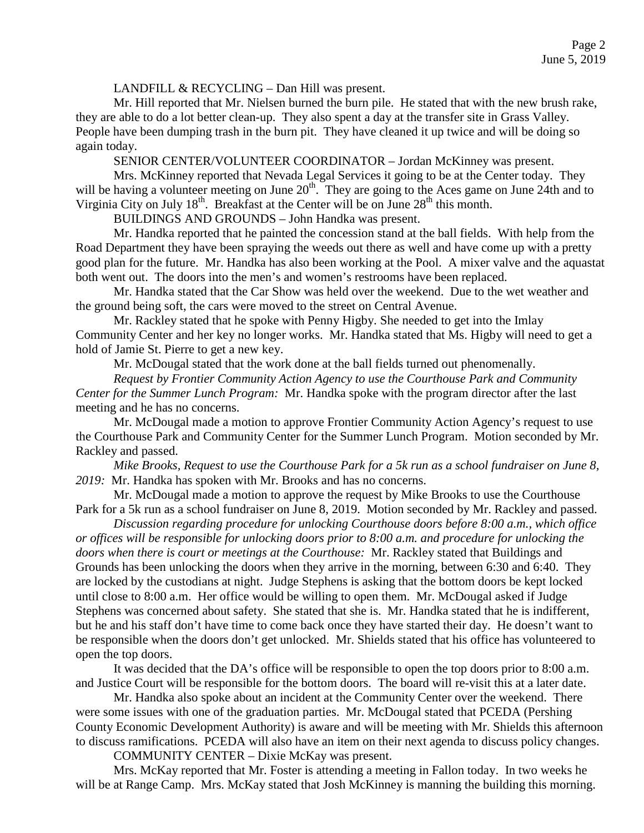LANDFILL & RECYCLING – Dan Hill was present.

Mr. Hill reported that Mr. Nielsen burned the burn pile. He stated that with the new brush rake, they are able to do a lot better clean-up. They also spent a day at the transfer site in Grass Valley. People have been dumping trash in the burn pit. They have cleaned it up twice and will be doing so again today.

SENIOR CENTER/VOLUNTEER COORDINATOR – Jordan McKinney was present.

Mrs. McKinney reported that Nevada Legal Services it going to be at the Center today. They will be having a volunteer meeting on June 20<sup>th</sup>. They are going to the Aces game on June 24th and to Virginia City on July  $18^{th}$ . Breakfast at the Center will be on June  $28^{th}$  this month.

BUILDINGS AND GROUNDS – John Handka was present.

Mr. Handka reported that he painted the concession stand at the ball fields. With help from the Road Department they have been spraying the weeds out there as well and have come up with a pretty good plan for the future. Mr. Handka has also been working at the Pool. A mixer valve and the aquastat both went out. The doors into the men's and women's restrooms have been replaced.

Mr. Handka stated that the Car Show was held over the weekend. Due to the wet weather and the ground being soft, the cars were moved to the street on Central Avenue.

Mr. Rackley stated that he spoke with Penny Higby. She needed to get into the Imlay Community Center and her key no longer works. Mr. Handka stated that Ms. Higby will need to get a hold of Jamie St. Pierre to get a new key.

Mr. McDougal stated that the work done at the ball fields turned out phenomenally.

*Request by Frontier Community Action Agency to use the Courthouse Park and Community Center for the Summer Lunch Program:* Mr. Handka spoke with the program director after the last meeting and he has no concerns.

Mr. McDougal made a motion to approve Frontier Community Action Agency's request to use the Courthouse Park and Community Center for the Summer Lunch Program. Motion seconded by Mr. Rackley and passed.

*Mike Brooks, Request to use the Courthouse Park for a 5k run as a school fundraiser on June 8, 2019:* Mr. Handka has spoken with Mr. Brooks and has no concerns.

Mr. McDougal made a motion to approve the request by Mike Brooks to use the Courthouse Park for a 5k run as a school fundraiser on June 8, 2019. Motion seconded by Mr. Rackley and passed.

*Discussion regarding procedure for unlocking Courthouse doors before 8:00 a.m., which office or offices will be responsible for unlocking doors prior to 8:00 a.m. and procedure for unlocking the doors when there is court or meetings at the Courthouse:* Mr. Rackley stated that Buildings and Grounds has been unlocking the doors when they arrive in the morning, between 6:30 and 6:40. They are locked by the custodians at night. Judge Stephens is asking that the bottom doors be kept locked until close to 8:00 a.m. Her office would be willing to open them. Mr. McDougal asked if Judge Stephens was concerned about safety. She stated that she is. Mr. Handka stated that he is indifferent, but he and his staff don't have time to come back once they have started their day. He doesn't want to be responsible when the doors don't get unlocked. Mr. Shields stated that his office has volunteered to open the top doors.

It was decided that the DA's office will be responsible to open the top doors prior to 8:00 a.m. and Justice Court will be responsible for the bottom doors. The board will re-visit this at a later date.

Mr. Handka also spoke about an incident at the Community Center over the weekend. There were some issues with one of the graduation parties. Mr. McDougal stated that PCEDA (Pershing County Economic Development Authority) is aware and will be meeting with Mr. Shields this afternoon to discuss ramifications. PCEDA will also have an item on their next agenda to discuss policy changes.

COMMUNITY CENTER – Dixie McKay was present.

Mrs. McKay reported that Mr. Foster is attending a meeting in Fallon today. In two weeks he will be at Range Camp. Mrs. McKay stated that Josh McKinney is manning the building this morning.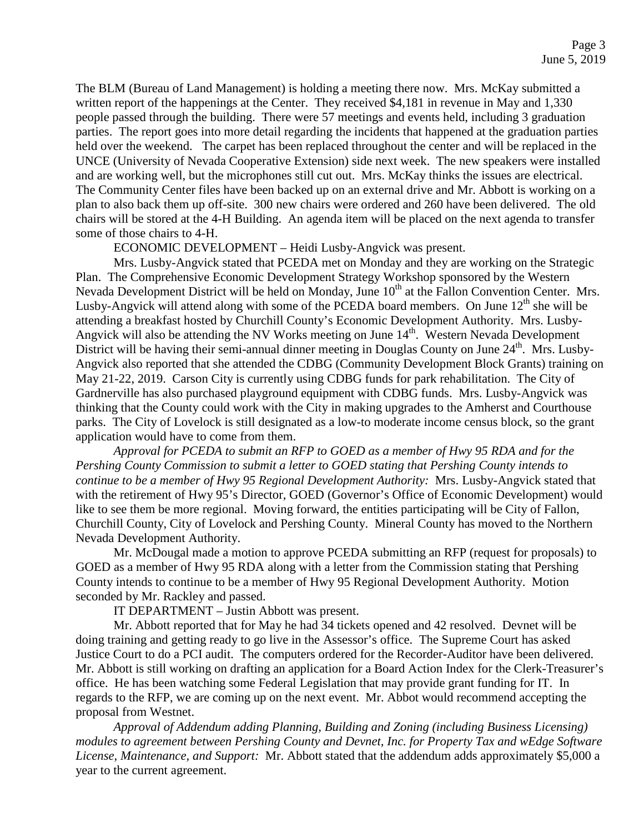The BLM (Bureau of Land Management) is holding a meeting there now. Mrs. McKay submitted a written report of the happenings at the Center. They received \$4,181 in revenue in May and 1,330 people passed through the building. There were 57 meetings and events held, including 3 graduation parties. The report goes into more detail regarding the incidents that happened at the graduation parties held over the weekend. The carpet has been replaced throughout the center and will be replaced in the UNCE (University of Nevada Cooperative Extension) side next week. The new speakers were installed and are working well, but the microphones still cut out. Mrs. McKay thinks the issues are electrical. The Community Center files have been backed up on an external drive and Mr. Abbott is working on a plan to also back them up off-site. 300 new chairs were ordered and 260 have been delivered. The old chairs will be stored at the 4-H Building. An agenda item will be placed on the next agenda to transfer some of those chairs to 4-H.

ECONOMIC DEVELOPMENT – Heidi Lusby-Angvick was present.

Mrs. Lusby-Angvick stated that PCEDA met on Monday and they are working on the Strategic Plan. The Comprehensive Economic Development Strategy Workshop sponsored by the Western Nevada Development District will be held on Monday, June 10<sup>th</sup> at the Fallon Convention Center. Mrs. Lusby-Angvick will attend along with some of the PCEDA board members. On June  $12<sup>th</sup>$  she will be attending a breakfast hosted by Churchill County's Economic Development Authority. Mrs. Lusby-Angvick will also be attending the NV Works meeting on June  $14<sup>th</sup>$ . Western Nevada Development District will be having their semi-annual dinner meeting in Douglas County on June 24<sup>th</sup>. Mrs. Lusby-Angvick also reported that she attended the CDBG (Community Development Block Grants) training on May 21-22, 2019. Carson City is currently using CDBG funds for park rehabilitation. The City of Gardnerville has also purchased playground equipment with CDBG funds. Mrs. Lusby-Angvick was thinking that the County could work with the City in making upgrades to the Amherst and Courthouse parks. The City of Lovelock is still designated as a low-to moderate income census block, so the grant application would have to come from them.

*Approval for PCEDA to submit an RFP to GOED as a member of Hwy 95 RDA and for the Pershing County Commission to submit a letter to GOED stating that Pershing County intends to continue to be a member of Hwy 95 Regional Development Authority:* Mrs. Lusby-Angvick stated that with the retirement of Hwy 95's Director, GOED (Governor's Office of Economic Development) would like to see them be more regional. Moving forward, the entities participating will be City of Fallon, Churchill County, City of Lovelock and Pershing County. Mineral County has moved to the Northern Nevada Development Authority.

Mr. McDougal made a motion to approve PCEDA submitting an RFP (request for proposals) to GOED as a member of Hwy 95 RDA along with a letter from the Commission stating that Pershing County intends to continue to be a member of Hwy 95 Regional Development Authority. Motion seconded by Mr. Rackley and passed.

IT DEPARTMENT – Justin Abbott was present.

Mr. Abbott reported that for May he had 34 tickets opened and 42 resolved. Devnet will be doing training and getting ready to go live in the Assessor's office. The Supreme Court has asked Justice Court to do a PCI audit. The computers ordered for the Recorder-Auditor have been delivered. Mr. Abbott is still working on drafting an application for a Board Action Index for the Clerk-Treasurer's office. He has been watching some Federal Legislation that may provide grant funding for IT. In regards to the RFP, we are coming up on the next event. Mr. Abbot would recommend accepting the proposal from Westnet.

*Approval of Addendum adding Planning, Building and Zoning (including Business Licensing) modules to agreement between Pershing County and Devnet, Inc. for Property Tax and wEdge Software License, Maintenance, and Support:* Mr. Abbott stated that the addendum adds approximately \$5,000 a year to the current agreement.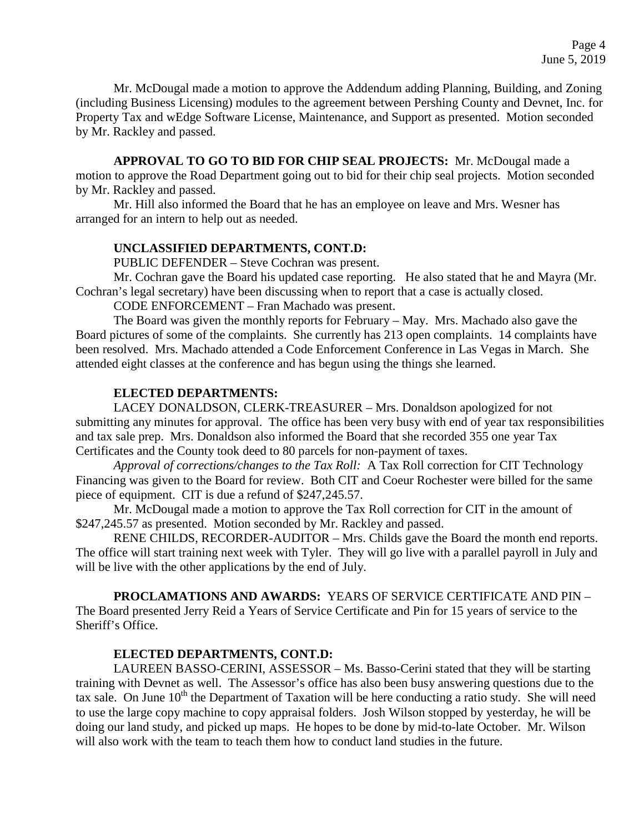Mr. McDougal made a motion to approve the Addendum adding Planning, Building, and Zoning (including Business Licensing) modules to the agreement between Pershing County and Devnet, Inc. for Property Tax and wEdge Software License, Maintenance, and Support as presented. Motion seconded by Mr. Rackley and passed.

**APPROVAL TO GO TO BID FOR CHIP SEAL PROJECTS:** Mr. McDougal made a motion to approve the Road Department going out to bid for their chip seal projects. Motion seconded by Mr. Rackley and passed.

Mr. Hill also informed the Board that he has an employee on leave and Mrs. Wesner has arranged for an intern to help out as needed.

### **UNCLASSIFIED DEPARTMENTS, CONT.D:**

PUBLIC DEFENDER – Steve Cochran was present.

Mr. Cochran gave the Board his updated case reporting. He also stated that he and Mayra (Mr. Cochran's legal secretary) have been discussing when to report that a case is actually closed.

CODE ENFORCEMENT – Fran Machado was present.

The Board was given the monthly reports for February – May. Mrs. Machado also gave the Board pictures of some of the complaints. She currently has 213 open complaints. 14 complaints have been resolved. Mrs. Machado attended a Code Enforcement Conference in Las Vegas in March. She attended eight classes at the conference and has begun using the things she learned.

### **ELECTED DEPARTMENTS:**

LACEY DONALDSON, CLERK-TREASURER – Mrs. Donaldson apologized for not submitting any minutes for approval. The office has been very busy with end of year tax responsibilities and tax sale prep. Mrs. Donaldson also informed the Board that she recorded 355 one year Tax Certificates and the County took deed to 80 parcels for non-payment of taxes.

*Approval of corrections/changes to the Tax Roll:* A Tax Roll correction for CIT Technology Financing was given to the Board for review. Both CIT and Coeur Rochester were billed for the same piece of equipment. CIT is due a refund of \$247,245.57.

Mr. McDougal made a motion to approve the Tax Roll correction for CIT in the amount of \$247,245.57 as presented. Motion seconded by Mr. Rackley and passed.

RENE CHILDS, RECORDER-AUDITOR – Mrs. Childs gave the Board the month end reports. The office will start training next week with Tyler. They will go live with a parallel payroll in July and will be live with the other applications by the end of July.

**PROCLAMATIONS AND AWARDS:** YEARS OF SERVICE CERTIFICATE AND PIN – The Board presented Jerry Reid a Years of Service Certificate and Pin for 15 years of service to the Sheriff's Office.

### **ELECTED DEPARTMENTS, CONT.D:**

LAUREEN BASSO-CERINI, ASSESSOR – Ms. Basso-Cerini stated that they will be starting training with Devnet as well. The Assessor's office has also been busy answering questions due to the tax sale. On June  $10<sup>th</sup>$  the Department of Taxation will be here conducting a ratio study. She will need to use the large copy machine to copy appraisal folders. Josh Wilson stopped by yesterday, he will be doing our land study, and picked up maps. He hopes to be done by mid-to-late October. Mr. Wilson will also work with the team to teach them how to conduct land studies in the future.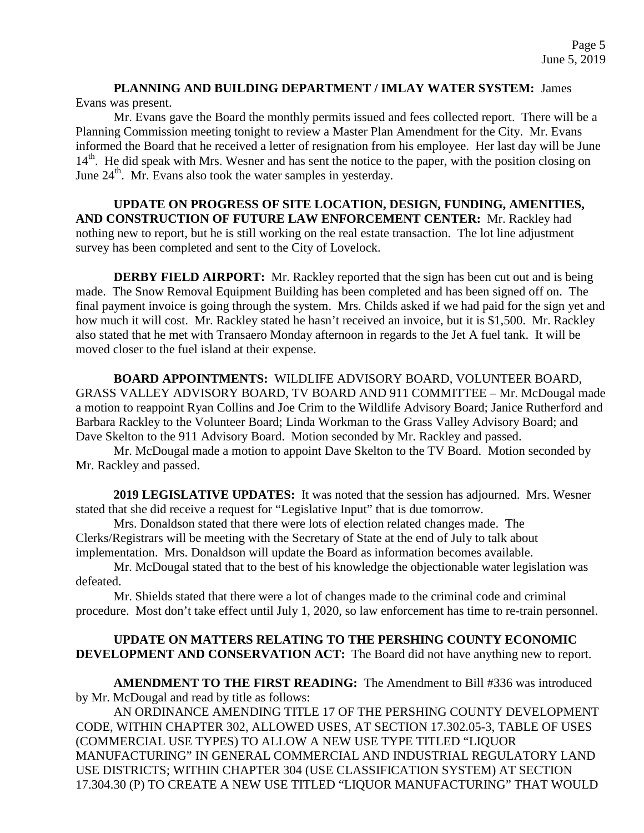# **PLANNING AND BUILDING DEPARTMENT / IMLAY WATER SYSTEM:** James Evans was present.

Mr. Evans gave the Board the monthly permits issued and fees collected report. There will be a Planning Commission meeting tonight to review a Master Plan Amendment for the City. Mr. Evans informed the Board that he received a letter of resignation from his employee. Her last day will be June 14<sup>th</sup>. He did speak with Mrs. Wesner and has sent the notice to the paper, with the position closing on June  $24<sup>th</sup>$ . Mr. Evans also took the water samples in yesterday.

**UPDATE ON PROGRESS OF SITE LOCATION, DESIGN, FUNDING, AMENITIES, AND CONSTRUCTION OF FUTURE LAW ENFORCEMENT CENTER:** Mr. Rackley had nothing new to report, but he is still working on the real estate transaction. The lot line adjustment survey has been completed and sent to the City of Lovelock.

**DERBY FIELD AIRPORT:** Mr. Rackley reported that the sign has been cut out and is being made. The Snow Removal Equipment Building has been completed and has been signed off on. The final payment invoice is going through the system. Mrs. Childs asked if we had paid for the sign yet and how much it will cost. Mr. Rackley stated he hasn't received an invoice, but it is \$1,500. Mr. Rackley also stated that he met with Transaero Monday afternoon in regards to the Jet A fuel tank. It will be moved closer to the fuel island at their expense.

**BOARD APPOINTMENTS:** WILDLIFE ADVISORY BOARD, VOLUNTEER BOARD, GRASS VALLEY ADVISORY BOARD, TV BOARD AND 911 COMMITTEE – Mr. McDougal made a motion to reappoint Ryan Collins and Joe Crim to the Wildlife Advisory Board; Janice Rutherford and Barbara Rackley to the Volunteer Board; Linda Workman to the Grass Valley Advisory Board; and Dave Skelton to the 911 Advisory Board. Motion seconded by Mr. Rackley and passed.

Mr. McDougal made a motion to appoint Dave Skelton to the TV Board. Motion seconded by Mr. Rackley and passed.

**2019 LEGISLATIVE UPDATES:** It was noted that the session has adjourned. Mrs. Wesner stated that she did receive a request for "Legislative Input" that is due tomorrow.

Mrs. Donaldson stated that there were lots of election related changes made. The Clerks/Registrars will be meeting with the Secretary of State at the end of July to talk about implementation. Mrs. Donaldson will update the Board as information becomes available.

Mr. McDougal stated that to the best of his knowledge the objectionable water legislation was defeated.

Mr. Shields stated that there were a lot of changes made to the criminal code and criminal procedure. Most don't take effect until July 1, 2020, so law enforcement has time to re-train personnel.

## **UPDATE ON MATTERS RELATING TO THE PERSHING COUNTY ECONOMIC DEVELOPMENT AND CONSERVATION ACT:** The Board did not have anything new to report.

**AMENDMENT TO THE FIRST READING:** The Amendment to Bill #336 was introduced by Mr. McDougal and read by title as follows:

AN ORDINANCE AMENDING TITLE 17 OF THE PERSHING COUNTY DEVELOPMENT CODE, WITHIN CHAPTER 302, ALLOWED USES, AT SECTION 17.302.05-3, TABLE OF USES (COMMERCIAL USE TYPES) TO ALLOW A NEW USE TYPE TITLED "LIQUOR MANUFACTURING" IN GENERAL COMMERCIAL AND INDUSTRIAL REGULATORY LAND USE DISTRICTS; WITHIN CHAPTER 304 (USE CLASSIFICATION SYSTEM) AT SECTION 17.304.30 (P) TO CREATE A NEW USE TITLED "LIQUOR MANUFACTURING" THAT WOULD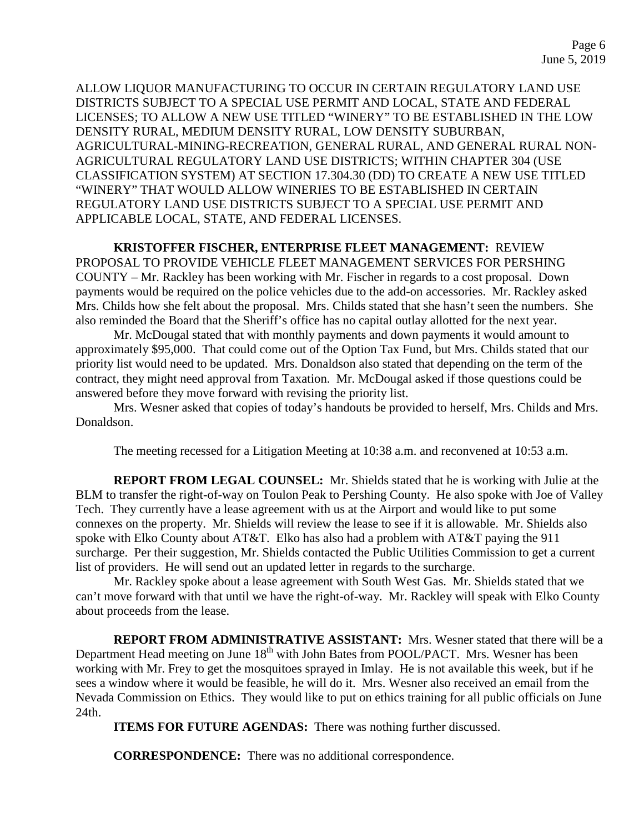ALLOW LIQUOR MANUFACTURING TO OCCUR IN CERTAIN REGULATORY LAND USE DISTRICTS SUBJECT TO A SPECIAL USE PERMIT AND LOCAL, STATE AND FEDERAL LICENSES; TO ALLOW A NEW USE TITLED "WINERY" TO BE ESTABLISHED IN THE LOW DENSITY RURAL, MEDIUM DENSITY RURAL, LOW DENSITY SUBURBAN, AGRICULTURAL-MINING-RECREATION, GENERAL RURAL, AND GENERAL RURAL NON-AGRICULTURAL REGULATORY LAND USE DISTRICTS; WITHIN CHAPTER 304 (USE CLASSIFICATION SYSTEM) AT SECTION 17.304.30 (DD) TO CREATE A NEW USE TITLED "WINERY" THAT WOULD ALLOW WINERIES TO BE ESTABLISHED IN CERTAIN REGULATORY LAND USE DISTRICTS SUBJECT TO A SPECIAL USE PERMIT AND APPLICABLE LOCAL, STATE, AND FEDERAL LICENSES.

**KRISTOFFER FISCHER, ENTERPRISE FLEET MANAGEMENT:** REVIEW PROPOSAL TO PROVIDE VEHICLE FLEET MANAGEMENT SERVICES FOR PERSHING COUNTY – Mr. Rackley has been working with Mr. Fischer in regards to a cost proposal. Down payments would be required on the police vehicles due to the add-on accessories. Mr. Rackley asked Mrs. Childs how she felt about the proposal. Mrs. Childs stated that she hasn't seen the numbers. She also reminded the Board that the Sheriff's office has no capital outlay allotted for the next year.

Mr. McDougal stated that with monthly payments and down payments it would amount to approximately \$95,000. That could come out of the Option Tax Fund, but Mrs. Childs stated that our priority list would need to be updated. Mrs. Donaldson also stated that depending on the term of the contract, they might need approval from Taxation. Mr. McDougal asked if those questions could be answered before they move forward with revising the priority list.

Mrs. Wesner asked that copies of today's handouts be provided to herself, Mrs. Childs and Mrs. Donaldson.

The meeting recessed for a Litigation Meeting at 10:38 a.m. and reconvened at 10:53 a.m.

**REPORT FROM LEGAL COUNSEL:** Mr. Shields stated that he is working with Julie at the BLM to transfer the right-of-way on Toulon Peak to Pershing County. He also spoke with Joe of Valley Tech. They currently have a lease agreement with us at the Airport and would like to put some connexes on the property. Mr. Shields will review the lease to see if it is allowable. Mr. Shields also spoke with Elko County about AT&T. Elko has also had a problem with AT&T paying the 911 surcharge. Per their suggestion, Mr. Shields contacted the Public Utilities Commission to get a current list of providers. He will send out an updated letter in regards to the surcharge.

Mr. Rackley spoke about a lease agreement with South West Gas. Mr. Shields stated that we can't move forward with that until we have the right-of-way. Mr. Rackley will speak with Elko County about proceeds from the lease.

**REPORT FROM ADMINISTRATIVE ASSISTANT:** Mrs. Wesner stated that there will be a Department Head meeting on June 18<sup>th</sup> with John Bates from POOL/PACT. Mrs. Wesner has been working with Mr. Frey to get the mosquitoes sprayed in Imlay. He is not available this week, but if he sees a window where it would be feasible, he will do it. Mrs. Wesner also received an email from the Nevada Commission on Ethics. They would like to put on ethics training for all public officials on June 24th.

**ITEMS FOR FUTURE AGENDAS:** There was nothing further discussed.

**CORRESPONDENCE:** There was no additional correspondence.